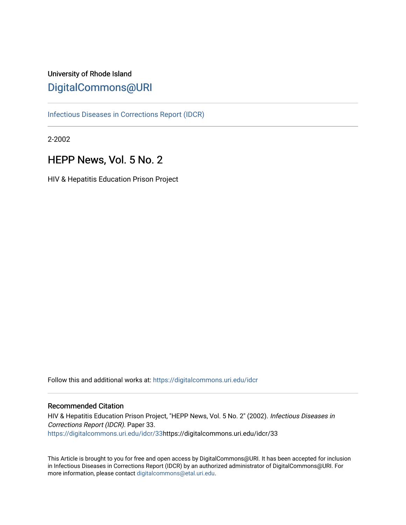# University of Rhode Island [DigitalCommons@URI](https://digitalcommons.uri.edu/)

[Infectious Diseases in Corrections Report \(IDCR\)](https://digitalcommons.uri.edu/idcr)

2-2002

# HEPP News, Vol. 5 No. 2

HIV & Hepatitis Education Prison Project

Follow this and additional works at: [https://digitalcommons.uri.edu/idcr](https://digitalcommons.uri.edu/idcr?utm_source=digitalcommons.uri.edu%2Fidcr%2F33&utm_medium=PDF&utm_campaign=PDFCoverPages)

## Recommended Citation

HIV & Hepatitis Education Prison Project, "HEPP News, Vol. 5 No. 2" (2002). Infectious Diseases in Corrections Report (IDCR). Paper 33. [https://digitalcommons.uri.edu/idcr/33h](https://digitalcommons.uri.edu/idcr/33?utm_source=digitalcommons.uri.edu%2Fidcr%2F33&utm_medium=PDF&utm_campaign=PDFCoverPages)ttps://digitalcommons.uri.edu/idcr/33

This Article is brought to you for free and open access by DigitalCommons@URI. It has been accepted for inclusion in Infectious Diseases in Corrections Report (IDCR) by an authorized administrator of DigitalCommons@URI. For more information, please contact [digitalcommons@etal.uri.edu.](mailto:digitalcommons@etal.uri.edu)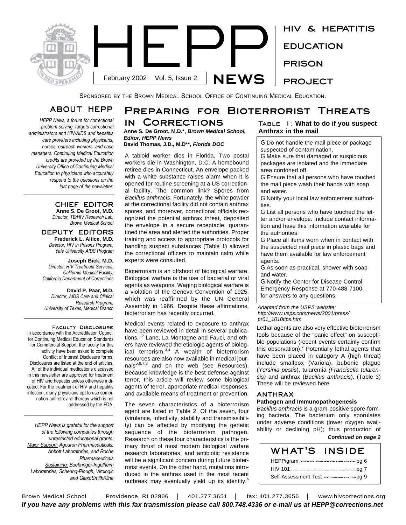

SPONSORED BY THE BROWN MEDICAL SCHOOL OFFICE OF CONTINUING MEDICAL EDUCATION.

# **ABOUT HEPP**

*HEPP News, a forum for correctional problem solving, targets correctional administrators and HIV/AIDS and hepatitis care providers including physicians, nurses, outreach workers, and case managers. Continuing Medical Education credits are provided by the Brown University Office of Continuing Medical Education to physicians who accurately respond to the questions on the last page of the newsletter.* 

> **CHIEF EDITOR Anne S. De Groot, M.D.** *Director, TB/HIV Research Lab, Brown Medical School*

#### **DEPUTY EDITORS Frederick L. Altice, M.D.** *Director, HIV in Prisons Program, Yale University AIDS Program*

**Joseph Bick, M.D.** *Director, HIV Treatment Services, California Medical Facility, California Department of Corrections*

**David P. Paar, M.D.** *Director, AIDS Care and Clinical Research Program, University of Texas, Medical Branch*

**Faculty Disclosure** In accordance with the Accreditation Council for Continuing Medical Education Standards for Commercial Support, the faculty for this activity have been asked to complete Conflict of Interest Disclosure forms. Disclosures are listed at the end of articles. All of the individual medications discussed in this newsletter are approved for treatment of HIV and hepatitis unless otherwise indicated. For the treatment of HIV and hepatitis infection, many physicians opt to use combination antiretroviral therapy which is not addressed by the FDA.

*HEPP News is grateful for the support of the following companies through unrestricted educational grants: Major Support: Agouron Pharmaceuticals, Abbott Laboratories, and Roche Pharmaceuticals Sustaining: Boehringer-Ingelheim Laboratories, Schering-Plough, Virologic and GlaxoSmithKline*

# **Preparing for Bioterrorist Threats in Corrections**

#### **Anne S. De Groot, M.D.\*,** *Brown Medical School, Editor, HEPP News* **David Thomas, J.D., M.D\*\*,** *Florida DOC*

A tabloid worker dies in Florida. Two postal workers die in Washington, D.C. A homebound retiree dies in Connecticut. An envelope packed with a white substance raises alarm when it is opened for routine screening at a US correctional facility. The common link? Spores from *Bacillus anthracis*. Fortunately, the white powder at the correctional facility did not contain anthrax spores, and moreover, correctional officials recognized the potential anthrax threat, deposited the envelope in a secure receptacle, quarantined the area and alerted the authorities. Proper training and access to appropriate protocols for handling suspect substances (Table 1) allowed the correctional officers to maintain calm while experts were consulted.

Bioterrorism is an offshoot of biological warfare. Biological warfare is the use of bacterial or viral agents as weapons. Waging biological warfare is a violation of the Geneva Convention of 1925, which was reaffirmed by the UN General Assembly in 1966. Despite these affirmations, bioterrorism has recently occurred.

Medical events related to exposure to anthrax have been reviewed in detail in several publications.<sup>1,2</sup> Lane, La Montagne and Fauci, and others have reviewed the etiologic agents of biological terrorism.<sup>3,4</sup> A wealth of bioterrorism resources are also now available in medical journals<sup>5,6,7,8</sup> and on the web (see Resources). Because knowledge is the best defense against terror, this article will review some biological agents of terror, appropriate medical responses, and available means of treatment or prevention.

The seven characteristics of a bioterrorism agent are listed in Table 2. Of the seven, four (virulence, infectivity, stability and transmissibility) can be affected by modifying the genetic sequence of the bioterrorism pathogen. Research on these four characteristics is the primary thrust of most modern biological warfare research laboratories, and antibiotic resistance will be a significant concern during future bioterrorist events. On the other hand, mutations introduced in the anthrax used in the most recent outbreak may eventually yield up its identity.<sup>6</sup>

## **Table 1: What to do if you suspect Anthrax in the mail**

G Do not handle the mail piece or package suspected of contamination.

G Make sure that damaged or suspicious packages are isolated and the immediate area cordoned off.

G Ensure that all persons who have touched the mail piece wash their hands with soap and water.

G Notify your local law enforcement authorities.

G List all persons who have touched the letter and/or envelope. Include contact information and have this information available for the authorities.

G Place all items worn when in contact with the suspected mail piece in plastic bags and have them available for law enforcement agents.

G As soon as practical, shower with soap and water.

G Notify the Center for Disease Control Emergency Response at 770-488-7100 for answers to any questions.

*Adapted from the USPS website: http://www.usps.com/news/2001/press/ pr01\_1010tips.htm*

Lethal agents are also very effective bioterrorism tools because of the "panic effect" on susceptible populations (recent events certainly confirm this observation).<sup>7</sup> Potentially lethal agents that have been placed in category A (high threat) include smallpox (Variola), bubonic plague (*Yersinia pestis*), tularemia *(Francisella tularensis)* and anthrax (*Bacillus anthracis*). (Table 3) These will be reviewed here.

#### **ANTHRAX**

#### **Pathogen and Immunopathogenesis**

*Bacillus anthracis* is a gram-positive spore-forming bacteria. The bacterium only sporulates under adverse conditions (lower oxygen availability or declining pH); thus production of *Continued on page 2*

| WHAT'S INSIDE                                     |  |
|---------------------------------------------------|--|
|                                                   |  |
|                                                   |  |
| Self-Assessment Test ----------------------- pq 9 |  |

Brown Medical School | Providence, RI 02906 | 401.277.3651 | fax: 401.277.3656 | www.hivcorrections.org *If you have any problems with this fax transmission please call 800.748.4336 or e-mail us at HEPP@corrections.net*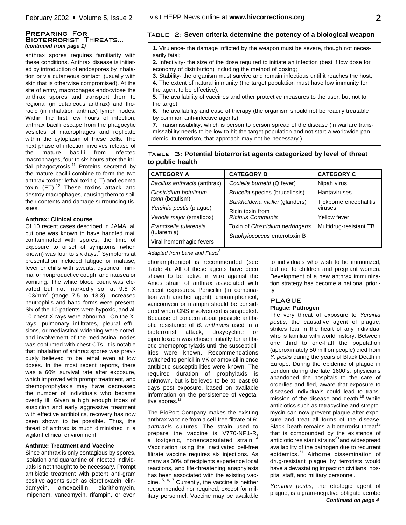#### **Preparing For Bioterrorist Threats...** *(continued from page 1)*

anthrax spores requires familiarity with these conditions. Anthrax disease is initiated by introduction of endospores by inhalation or via cutaneous contact (usually with skin that is otherwise compromised). At the site of entry, macrophages endocytose the anthrax spores and transport them to regional (in cutaneous anthrax) and thoracic (in inhalation anthrax) lymph nodes. Within the first few hours of infection, anthrax bacilli escape from the phagocytic vesicles of macrophages and replicate within the cytoplasm of these cells. The next phase of infection involves release of the mature bacilli from infected macrophages, four to six hours after the initial phagocytosis.<sup>11</sup> Proteins secreted by the mature bacilli combine to form the two anthrax toxins: lethal toxin (LT) and edema toxin (ET).<sup>12</sup> These toxins attack and destroy macrophages, causing them to spill their contents and damage surrounding tissues.

#### **Anthrax: Clinical course**

Of 10 recent cases described in JAMA, all but one was known to have handled mail contaminated with spores; the time of exposure to onset of symptoms (when known) was four to six days. <sup>2</sup> Symptoms at presentation included fatigue or malaise, fever or chills with sweats, dyspnea, minimal or nonproductive cough, and nausea or vomiting. The white blood count was elevated but not markedly so, at 9.8 X 103/mm 3 (range 7.5 to 13.3). Increased neutrophils and band forms were present. Six of the 10 patients were hypoxic, and all 10 chest X-rays were abnormal. On the Xrays, pulmonary infiltrates, pleural effusions, or mediastinal widening were noted, and involvement of the mediastinal nodes was confirmed with chest CTs. It is notable that inhalation of anthrax spores was previously believed to be lethal even at low doses. In the most recent reports, there was a 60% survival rate after exposure, which improved with prompt treatment, and chemoprophylaxis may have decreased the number of individuals who became overtly ill. Given a high enough index of suspicion and early aggressive treatment with effective antibiotics, recovery has now been shown to be possible. Thus, the threat of anthrax is much diminished in a vigilant clinical environment.

#### **Anthrax: Treatment and Vaccine**

Since anthrax is only contagious by spores, isolation and quarantine of infected individuals is not thought to be necessary. Prompt antibiotic treatment with potent anti-gram positive agents such as ciprofloxacin, clindamycin, amoxacillin, clarithomycin, imipenem, vancomycin, rifampin, or even

## **Table 2: Seven criteria determine the potency of a biological weapon**

**1.** Virulence- the damage inflicted by the weapon must be severe, though not necessarily fatal;

**2.** Infectivity- the size of the dose required to initiate an infection (best if low dose for economy of distribution) including the method of dosing;

**3.** Stability- the organism must survive and remain infectious until it reaches the host; **4.** The extent of natural immunity (the target population must have low immunity for the agent to be effective);

**5.** The availability of vaccines and other protective measures to the user, but not to the target;

**6.** The availability and ease of therapy (the organism should not be readily treatable by common anti-infective agents);

**7.** Transmissability, which is person to person spread of the disease (in warfare transmissability needs to be low to hit the target population and not start a worldwide pandemic. In terrorism, that approach may not be necessary.)

## **Table 3: Potential bioterrorist agents categorized by level of threat to public health**

| <b>CATEGORY A</b>            | <b>CATEGORY B</b>                | <b>CATEGORY C</b>      |
|------------------------------|----------------------------------|------------------------|
| Bacillus anthracis (anthrax) | Coxiella burnetti (Q fever)      | Nipah virus            |
| Clostridium botulinum        | Brucella species (brucellosis)   | <b>Hantaviruses</b>    |
| toxin (botulism)             | Burkholderia mallei (glanders)   | Tickborne encephalitis |
| Yersinia pestis (plague)     | Ricin toxin from                 | viruses                |
| Variola major (smallpox)     | Ricinus Communis                 | Yellow fever           |
| Francisella tularensis       | Toxin of Clostridium perfringens | Multidrug-resistant TB |
| (tularemia)                  | Staphylococcus enterotoxin B     |                        |
| Viral hemorrhagic fevers     |                                  |                        |

*Adapted from Lane and Fauci 3*

choramphenicol is recommended (see Table 4). All of these agents have been shown to be active in vitro against the Ames strain of anthrax associated with recent exposures. Penicillin (in combination with another agent), choramphenicol, vancomycin or rifampin should be considered when CNS involvement is suspected. Because of concern about possible antibiotic resistance of *B. anthracis* used in a bioterrorist attack, doxycycline or ciprofloxacin was chosen initially for antibiotic chemoprophylaxis until the susceptibilities were known. Recommendations switched to penicillin VK or amoxicillin once antibiotic susceptibilities were known. The required duration of prophylaxis is unknown, but is believed to be at least 90 days post exposure, based on available information on the persistence of vegetative spores.<sup>13</sup>

The BioPort Company makes the existing anthrax vaccine from a cell-free filtrate of *B. anthracis* cultures. The strain used to prepare the vaccine is V770-NP1-R, a toxigenic, nonencapsulated strain.<sup>14</sup> Vaccination using the inactivated cell-free filtrate vaccine requires six injections. As many as 30% of recipients experience local reactions, and life-threatening anaphylaxis has been associated with the existing vaccine. 15,16,17 Currently, the vaccine is neither recommended nor required, except for military personnel. Vaccine may be available

to individuals who wish to be immunized, but not to children and pregnant women. Development of a new anthrax immunization strategy has become a national priority.

## **PLAGUE**

#### **Plague: Pathogen**

The very threat of exposure to *Yersinia pestis*, the causative agent of plague, strikes fear in the heart of any individual who is familiar with world history: Between one third to one-half the population (approximately 50 million people) died from *Y. pestis* during the years of Black Death in Europe. During the epidemic of plague in London during the late 1600's, physicians abandoned the hospitals to the care of orderlies and fled, aware that exposure to diseased individuals could lead to transmission of the disease and death. <sup>18</sup> While antibiotics such as tetracycline and streptomycin can now prevent plague after exposure and treat all forms of the disease, Black Death remains a bioterrorist threat<sup>19</sup> that is compounded by the existence of antibiotic resistant strains<sup>20</sup> and widespread availability of the pathogen due to recurrent epidemics.<sup>21</sup> Airborne dissemination of drug-resistant plague by terrorists would have a devastating impact on civilians, hospital staff, and military personnel.

*Yersinia pestis*, the etiologic agent of plague, is a gram-negative obligate aerobe *Continued on page 4*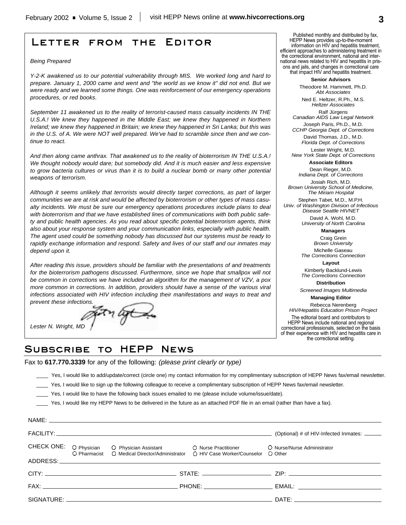# **Letter from the Editor**

#### *Being Prepared*

*Y-2-K awakened us to our potential vulnerability through MIS. We worked long and hard to prepare. January 1, 2000 came and went and "the world as we know it" did not end. But we were ready and we learned some things. One was reinforcement of our emergency operations procedures, or red books.*

*September 11 awakened us to the reality of terrorist-caused mass casualty incidents IN THE U.S.A.! We knew they happened in the Middle East; we knew they happened in Northern Ireland; we knew they happened in Britain; we knew they happened in Sri Lanka; but this was in the U.S. of A. We were NOT well prepared. We've had to scramble since then and we continue to react.*

*And then along came anthrax. That awakened us to the reality of bioterrorism IN THE U.S.A.! We thought nobody would dare; but somebody did. And it is much easier and less expensive to grow bacteria cultures or virus than it is to build a nuclear bomb or many other potential weapons of terrorism.*

*Although it seems unlikely that terrorists would directly target corrections, as part of larger communities we are at risk and would be affected by bioterrorism or other types of mass casualty incidents. We must be sure our emergency operations procedures include plans to deal with bioterrorism and that we have established lines of communications with both public safety and public health agencies. As you read about specific potential bioterrorism agents, think also about your response system and your communication links, especially with public health. The agent used could be something nobody has discussed but our systems must be ready to rapidly exchange information and respond. Safety and lives of our staff and our inmates may depend upon it.*

*After reading this issue, providers should be familiar with the presentations of and treatments for the bioterrorism pathogens discussed. Furthermore, since we hope that smallpox will not be common in corrections we have included an algorithm for the management of VZV, a pox more common in corrections. In addition, providers should have a sense of the various viral infections associated with HIV infection including their manifestations and ways to treat and prevent these infections.*

*Lester N. Wright, MD*

Published monthly and distributed by fax, HEPP News provides up-to-the-moment information on HIV and hepatitis treatment, efficient approaches to administering treatment in the correctional environment, national and international news related to HIV and hepatitis in prisons and jails, and changes in correctional care that impact HIV and hepatitis treatment.

#### **Senior Advisors**

Theodore M. Hammett, Ph.D. *Abt Associates*

Ned E. Heltzer, R.Ph., M.S. *Heltzer Associates*

Ralf Jürgens *Canadian AIDS Law Legal Network* Joseph Paris, Ph.D., M.D.

*CCHP Georgia Dept. of Corrections* David Thomas, J.D., M.D.

*Florida Dept. of Corrections* Lester Wright, M.D.

*New York State Dept. of Corrections* **Associate Editors**

Dean Rieger, M.D.

*Indiana Dept. of Corrections* Josiah Rich, M.D.

*Brown University School of Medicine, The Miriam Hospital*

Stephen Tabet, M.D., M.P.H. *Univ. of Washington Division of Infectious Disease Seattle HIVNET*

> David A. Wohl, M.D. *University of North Carolina*

> > **Managers**

Craig Grein *Brown University*

Michelle Gaseau *The Corrections Connection*

**Layout**

Kimberly Backlund-Lewis *The Corrections Connection*

**Distribution**

*Screened Images Multimedia*

**Managing Editor** Rebecca Nerenberg

*HIV/Hepatitis Education Prison Project* The editorial board and contributors to HEPP News include national and regional correctional professionals, selected on the basis of their experience with HIV and hepatitis care in the correctional setting.

# **Subscribe to HEPP News**

Fax to **617.770.3339** for any of the following: *(please print clearly or type)*

Yes, I would like to add/update/correct (circle one) my contact information for my complimentary subscription of HEPP News fax/email newsletter.

- Yes, I would like to sign up the following colleague to receive a complimentary subscription of HEPP News fax/email newsletter.
- Yes, I would like to have the following back issues emailed to me (please include volume/issue/date).

Yes, I would like my HEPP News to be delivered in the future as an attached PDF file in an email (rather than have a fax).

|  | NAME: NAME:                                                                                                                                            |                                             |
|--|--------------------------------------------------------------------------------------------------------------------------------------------------------|---------------------------------------------|
|  |                                                                                                                                                        | (Optional) # of HIV-Infected Inmates: _____ |
|  | CHECK ONE: O Physician O Physician Assistant O Nurse Practitioner<br>O Pharmacist O Medical Director/Administrator O HIV Case Worker/Counselor O Other | O Nurse/Nurse Administrator                 |
|  |                                                                                                                                                        |                                             |
|  |                                                                                                                                                        |                                             |
|  |                                                                                                                                                        |                                             |
|  |                                                                                                                                                        |                                             |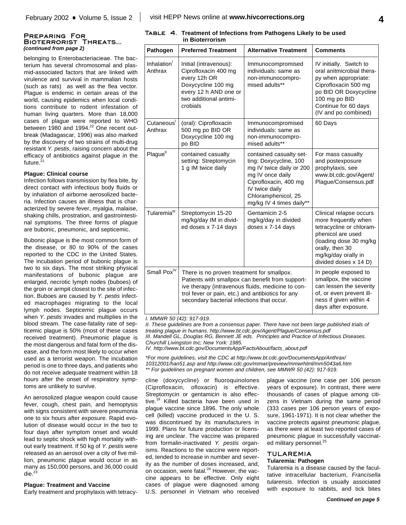#### **Preparing For Bioterrorist Threats...** *(continued from page 2)*

belonging to Enterobacteriacieae. The bacterium has several chromosomal and plasmid-associated factors that are linked with virulence and survival in mammalian hosts (such as rats) as well as the flea vector. Plague is endemic in certain areas of the world, causing epidemics when local conditions contribute to rodent infestation of human living quarters. More than 18,000 cases of plague were reported to WHO between 1980 and 1994.<sup>22</sup> One recent outbreak (Madagascar, 1996) was also marked by the discovery of two strains of multi-drug resistant *Y. pestis*, raising concern about the efficacy of antibiotics against plague in the future.<sup>21</sup>

#### **Plague: Clinical course**

Infection follows transmission by flea bite, by direct contact with infectious body fluids or by inhalation of airborne aerosolized bacteria. Infection causes an illness that is characterized by severe fever, myalgia, malaise, shaking chills, prostration, and gastrointestinal symptoms. The three forms of plague are bubonic, pneumonic, and septicemic.

Bubonic plague is the most common form of the disease, or 80 to 90% of the cases reported to the CDC in the United States. The incubation period of bubonic plague is two to six days. The most striking physical manifestations of bubonic plague are enlarged, necrotic lymph nodes (buboes) of the groin or armpit closest to the site of infection. Buboes are caused by *Y. pestis* infected macrophages migrating to the local lymph nodes. Septicemic plague occurs when *Y. pestis* invades and multiplies in the blood stream. The case-fatality rate of septicemic plague is 50% (most of these cases received treatment). Pneumonic plague is the most dangerous and fatal form of the disease, and the form most likely to occur when used as a terrorist weapon. The incubation period is one to three days, and patients who do not receive adequate treatment within 18 hours after the onset of respiratory symptoms are unlikely to survive.

An aerosolized plague weapon could cause fever, cough, chest pain, and hemoptysis with signs consistent with severe pneumonia one to six hours after exposure. Rapid evolution of disease would occur in the two to four days after symptom onset and would lead to septic shock with high mortality without early treatment. If 50 kg of *Y. pestis* were released as an aerosol over a city of five million, pneumonic plague would occur in as many as 150,000 persons, and 36,000 could die. 23

#### **Plague: Treatment and Vaccine**

Early treatment and prophylaxis with tetracy-

**Table 4. Treatment of Infections from Pathogens Likely to be used in Bioterrorism**

| Pathogen                           | <b>Preferred Treatment</b>                                                                                                                                                                                                                             | <b>Alternative Treatment</b>                                                                                                                                                                    | <b>Comments</b>                                                                                                                                                                                |
|------------------------------------|--------------------------------------------------------------------------------------------------------------------------------------------------------------------------------------------------------------------------------------------------------|-------------------------------------------------------------------------------------------------------------------------------------------------------------------------------------------------|------------------------------------------------------------------------------------------------------------------------------------------------------------------------------------------------|
| Inhalation <sup>1</sup><br>Anthrax | Initial (intravenous):<br>Ciprofloxacin 400 mg<br>every 12h OR<br>Doxycycline 100 mg<br>every 12 h AND one or<br>two additional antimi-<br>crobials                                                                                                    | Immunocompromised<br>individuals: same as<br>non-immunocompro-<br>mised adults**                                                                                                                | IV initially. Switch to<br>oral anitmicrobial thera-<br>py when appropriate:<br>Ciprofloxacin 500 mg<br>po BID OR Doxycycline<br>100 mg po BID<br>Continue for 60 days<br>(IV and po combined) |
| Cutaneous <sup>1</sup><br>Anthrax  | (oral): Ciprofloxacin<br>500 mg po BID OR<br>Doxycycline 100 mg<br>po BID                                                                                                                                                                              | Immunocompromised<br>individuals: same as<br>non-immunocompro-<br>mised adults**                                                                                                                | 60 Days                                                                                                                                                                                        |
| Plague <sup>ll</sup>               | contained casualty<br>setting: Streptomycin<br>1 g IM twice daily                                                                                                                                                                                      | contained casualty set-<br>ting: Doxycycline, 100<br>mg IV twice daily or 200<br>mg IV once daily<br>Ciprofloxacin, 400 mg<br>IV twice daily<br>Chloramphenicol, 25<br>mg/kg IV 4 times daily** | For mass casualty<br>and postexposure<br>prophylaxis, see<br>www.bt.cdc.gov/Agent/<br>Plague/Consensus.pdf                                                                                     |
| Tularemia <sup>III</sup>           | Streptomycin 15-20<br>mg/kg/day IM in divid-<br>ed doses x 7-14 days                                                                                                                                                                                   | Gentamicin 2-5<br>mg/kg/day in divided<br>doses x 7-14 days                                                                                                                                     | Clinical relapse occurs<br>more frequently when<br>tetracycline or chloram-<br>phenicol are used<br>(loading dose 30 mg/kg<br>orally, then 30<br>mg/kg/day orally in<br>divided doses x 14 D)  |
| Small Pox <sup>IV</sup>            | There is no proven treatment for smallpox.<br>Patients with smallpox can benefit from support-<br>ive therapy (intravenous fluids, medicine to con-<br>trol fever or pain, etc.) and antibiotics for any<br>secondary bacterial infections that occur. |                                                                                                                                                                                                 | In people exposed to<br>smallpox, the vaccine<br>can lessen the severity<br>of, or even prevent ill-<br>ness if given within 4<br>days after exposure.                                         |

#### *I. MMWR 50 (42): 917-919.*

*II. These guidelines are from a consensus paper. There have not been large published trials of treating plague in humans. http://www.bt.cdc.gov/Agent/Plague/Consensus.pdf III. Mandell GL, Douglas RG, Bennett JE eds. Principles and Practice of Infectious Diseases. Churchill Livingston Inc; New York: 1985.*

*IV. http://www.bt.cdc.gov/DocumentsApp/FactsAbout/facts\_about.pdf*

*\*For more guidelines, visit the CDC at http://www.bt.cdc.gov/DocumentsApp/Anthrax/ 10312001/han51.asp and http://www.cdc.gov/mmwr/preview/mmwrhtml/mm5043a6.htm*

*\*\* For guidelines on pregnant women and children, see MMWR 50 (42): 917-919.*

cline (doxycycline) or fluoroquinolones (Ciprofloxacin, ofloxacin) is effective. Streptomycin or gentamicin is also effective. <sup>19</sup> Killed bacteria have been used in plague vaccine since 1896. The only whole cell (killed) vaccine produced in the U. S. was discontinued by its manufacturers in 1999. Plans for future production or licensing are unclear. The vaccine was prepared from formalin-inactivated *Y. pestis* organisms. Reactions to the vaccine were reported, tended to increase in number and severity as the number of doses increased, and, on occasion, were fatal.<sup>24</sup> However, the vaccine appears to be effective. Only eight cases of plague were diagnosed among U.S. personnel in Vietnam who received

plague vaccine (one case per 106 person years of exposure). In contrast, there were thousands of cases of plague among citizens in Vietnam during the same period (333 cases per 106 person years of exposure, 1961-1971). It is not clear whether the vaccine protects against pneumonic plague, as there were at least two reported cases of pneumonic plague in successfully vaccinated military personnel.<sup>25</sup>

#### **TULAREMIA**

#### **Tularemia: Pathogen**

Tularemia is a disease caused by the facultative intracellular bacterium, *Francisella tularensis*. Infection is usually associated with exposure to rabbits, and tick bites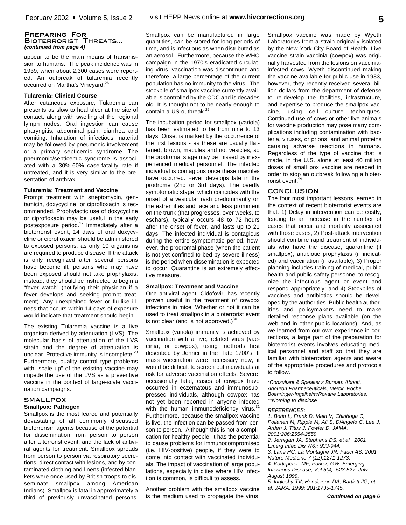#### **Preparing For Bioterrorist Threats...** *(continued from page 4)*

appear to be the main means of transmission to humans. The peak incidence was in 1939, when about 2,300 cases were reported. An outbreak of tularemia recently occurred on Martha's Vineyard.<sup>26</sup>

#### **Tularemia: Clinical Course**

After cutaneous exposure, Tularemia can presents as slow to heal ulcer at the site of contact, along with swelling of the regional lymph nodes. Oral ingestion can cause pharyngitis, abdominal pain, diarrhea and vomiting. Inhalation of infectious material may be followed by pneumonic involvement or a primary septicemic syndrome. The pneumonic/septicemic syndrome is associated with a 30%-60% case-fatality rate if untreated, and it is very similar to the presentation of anthrax.

#### **Tularemia: Treatment and Vaccine**

Prompt treatment with streptomycin, gentamicin, doxycycline, or ciprofloxacin is recommended. Prophylactic use of doxycycline or ciprofloxacin may be useful in the early postexposure period.<sup>27</sup> Immediately after a bioterrorist event, 14 days of oral doxycycline or ciprofloxacin should be administered to exposed persons, as only 10 organisms are required to produce disease. If the attack is only recognized after several persons have become ill, persons who may have been exposed should not take prophylaxis, instead, they should be instructed to begin a "fever watch" (notifying their physician if a fever develops and seeking prompt treatment). Any unexplained fever or flu-like illness that occurs within 14 days of exposure would indicate that treatment should begin.

The existing Tularemia vaccine is a live organism derived by attenuation (LVS). The molecular basis of attenuation of the LVS strain and the degree of attenuation is unclear. Protective immunity is incomplete.<sup>28</sup> Furthermore, quality control type problems with "scale up" of the existing vaccine may impede the use of the LVS as a preventive vaccine in the context of large-scale vaccination campaigns.

#### **SMALLPOX Smallpox: Pathogen**

Smallpox is the most feared and potentially devastating of all commonly discussed bioterrorism agents because of the potential for dissemination from person to person after a terrorist event, and the lack of antiviral agents for treatment. Smallpox spreads from person to person via respiratory secretions, direct contact with lesions, and by contaminated clothing and linens (infected blankets were once used by British troops to disseminate smallpox among American Indians). Smallpox is fatal in approximately a third of previously unvaccinated persons.

Smallpox can be manufactured in large quantities, can be stored for long periods of time, and is infectious as when distributed as an aerosol. Furthermore, because the WHO campaign in the 1970's eradicated circulating virus, vaccination was discontinued and therefore, a large percentage of the current population has no immunity to the virus. The stockpile of smallpox vaccine currently available is controlled by the CDC and is decades old. It is thought not to be nearly enough to contain a US outbreak. 29

The incubation period for smallpox (variola) has been estimated to be from nine to 13 days. Onset is marked by the occurrence of the first lesions - as these are usually flattened, brown, macules and not vesicles, so the prodromal stage may be missed by inexperienced medical personnel. The infected individual is contagious once these macules have occurred. Fever develops late in the prodrome (2nd or 3rd days). The overtly symptomatic stage, which coincides with the onset of a vesicular rash predominantly on the extremities and face and less prominent on the trunk (that progresses, over weeks, to eschars), typically occurs 48 to 72 hours after the onset of fever, and lasts up to 21 days. The infected individual is contagious during the entire symptomatic period, however, the prodromal phase (when the patient is not yet confined to bed by severe illness) is the period when dissemination is expected to occur. Quarantine is an extremely effective measure.

#### **Smallpox: Treatment and Vaccine**

One antiviral agent, Cidofovir, has recently proven useful in the treatment of cowpox infections in mice. Whether or not it can be used to treat smallpox in a bioterrorist event is not clear (and is not approved.) $^{30}$ 

Smallpox (variola) immunity is achieved by vaccination with a live, related virus (vaccinia, or cowpox), using methods first described by Jenner in the late 1700's. If mass vaccination were necessary now, it would be difficult to screen out individuals at risk for adverse vaccination effects. Severe, occasionally fatal, cases of cowpox have occurred in eczematous and immunosuppressed individuals, although cowpox has not yet been reported in anyone infected with the human immunodeficiency virus.<sup>31</sup> Furthermore, because the smallpox vaccine is live, the infection can be passed from person to person. Although this is not a complication for healthy people, it has the potential to cause problems for immunocompromised (i.e. HIV-positive) people, if they were to come into contact with vaccinated individuals. The impact of vaccination of large populations, especially in cities where HIV infection is common, is difficult to assess.

Another problem with the smallpox vaccine is the medium used to propagate the virus.

Smallpox vaccine was made by Wyeth Laboratories from a strain originally isolated by the New York City Board of Health. Live vaccine strain vaccinia (cowpox) was originally harvested from the lesions on vacciniainfected cows. Wyeth discontinued making the vaccine available for public use in 1983, however, they recently received several billion dollars from the department of defense to re-develop the facilities, infrastructure, and expertise to produce the smallpox vaccine, using cell culture techniques. Continued use of cows or other live animals for vaccine production may pose many complications including contamination with bacteria, viruses, or prions, and animal proteins causing adverse reactions in humans. Regardless of the type of vaccine that is made, in the U.S. alone at least 40 million doses of small pox vaccine are needed in order to stop an outbreak following a bioterrorist event. 29

#### **CONCLUSION**

The four most important lessons learned in the context of recent bioterrorist events are that: 1) Delay in intervention can be costly, leading to an increase in the number of cases that occur and mortality associated with those cases; 2) Post-attack intervention should combine rapid treatment of individuals who have the disease, quarantine (if smallpox), antibiotic prophylaxis (if indicated) and vaccination (if available); 3) Proper planning includes training of medical, public health and public safety personnel to recognize the infectious agent or event and respond appropriately; and 4) Stockpiles of vaccines and antibiotics should be developed by the authorities. Public health authorities and policymakers need to make detailed response plans available (on the web and in other public locations). And, as we learned from our own experience in corrections, a large part of the preparation for bioterrorist events involves educating medical personnel and staff so that they are familiar with bioterrorism agents and aware of the appropriate procedures and protocols to follow.

*\*Consultant & Speaker's Bureau: Abbott, Agouron Pharmaceuticals, Merck, Roche, Boehringer-Ingelheim/Roxane Laboratories. \*\*Nothing to disclose*

#### *REFERENCES:*

*1. Borio L, Frank D, Main V, Chiriboga C, Pollanen M, Ripple M, Ali S, DiAngelo C, Lee J, Arden J, Titus J, Fowler D. JAMA. 2001;286:2554-2559. 2. Jernigan JA, Stephens DS, et al. 2001 Emerg Infec Dis 7(6): 933-944. 3. Lane HC, La Montagne JR, Fauci AS. 2001 Nature Medicine 7 (12):1271-1273. 4. Kortepeter, MF, Parker, GW. Emerging Infectious Disease, Vol 5(4): 523-527, July-August 1999. 5. Inglesby TV, Henderson DA, Bartlett JG, et al. JAMA. 1999; 281:1735-1745.*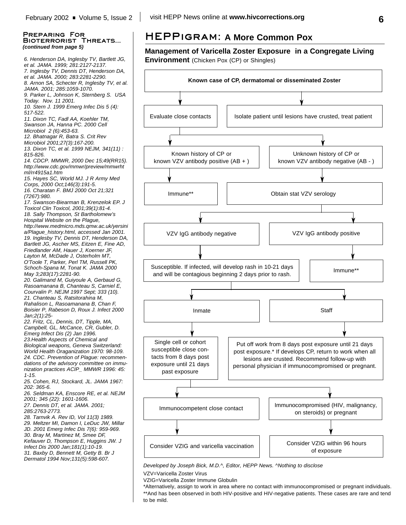*6. Henderson DA, Inglesby TV, Bartlett JG, et al. JAMA. 1999; 281:2127-2137. 7. Inglesby TV, Dennis DT, Henderson DA, et al. JAMA. 2000; 283:2281-2290. 8. Arnon SA, Schecter R, Inglesby TV, et al. JAMA. 2001; 285:1059-1070. 9. Parker L, Johnson K, Sternberg S. USA Today. Nov. 11 2001. 10. Stern J. 1999 Emerg Infec Dis 5 (4): 517-522. 11. Dixon TC, Fadl AA, Koehler TM, Swanson JA, Hanna PC. 2000 Cell Microbiol 2 (6):453-63. 12. Bhatnagar R, Batra S. Crit Rev Microbiol 2001;27(3):167-200. 13. Dixon TC, et al. 1999 NEJM, 341(11) : 815-826. 14. CDCP. MMWR, 2000 Dec 15;49(RR15). http://www.cdc.gov/mmwr/preview/mmwrht ml/rr4915a1.htm 15. Hayes SC, World MJ. J R Army Med Corps, 2000 Oct;146(3):191-5. 16. Charatan F. BMJ 2000 Oct 21;321 (7267):980. 17. Swanson-Biearman B, Krenzelok EP. J Toxicol Clin Toxicol, 2001;39(1):81-4. 18. Sally Thompson, St Bartholomew's Hospital Website on the Plague, http://www.medmicro.mds.qmw.ac.uk/yersini a/Plague\_history.html, accessed Jan 2001. 19. Inglesby TV, Dennis DT, Henderson DA, Bartlett JG, Ascher MS, Eitzen E, Fine AD, Friedlander AM, Hauer J, Koerner JF, Layton M, McDade J, Osterholm MT, O'Toole T, Parker, Perl TM, Russell PK, Schoch-Spana M, Tonat K. JAMA 2000 May 3;283(17):2281-90. 20. Galimand M, Guiyoule A, Gerbaud G, Rasoamanana B, Chanteau S, Carniel E, Courvalin P. NEJM 1997 Sept; 333 (10). 21. Chanteau S, Ratsitorahina M, Rahalison L, Rasoamanana B, Chan F, Boisier P, Rabeson D, Roux J. Infect 2000 Jan;2(1):25- 22. Fritz, CL, Dennis, DT, Tipple, MA, Campbell, GL, McCance, CR, Gubler, D. Emerg Infect Dis (2) Jan 1996. 23.Health Aspects of Chemical and Biological weapons, Geneva Switzerland: World Health Oraganization 1970: 98-109. 24. CDC. Prevention of Plague: recommendations of the advisory committee on immunization practices ACIP\_ MMWR 1996: 45: 1-15. 25. Cohen, RJ, Stockard, JL. JAMA 1967: 202: 365-6. 26. Seldman KA, Enscore RE, et al. NEJM 2001; 345 (22): 1601-1606. 27. Dennis DT, et al. JAMA. 2001; 285:2763-2773. 28. Tarnvik A. Rev ID, Vol 11(3) 1989. 29. Meltzer MI, Damon I, LeDuc JW, Millar JD. 2001 Emerg Infec Dis 7(6): 959-969. 30. Bray M, Martinez M, Smee DF, Kefauver D, Thompson E, Huggins JW. J Infect Dis 2000 Jan;181(1):10-19. 31. Baxby D, Bennett M, Getty B. Br J Dermatol 1994 Nov;131(5):598-607.*

# **HEPPigram: A More Common Pox**

## **Management of Varicella Zoster Exposure in a Congregate Living Environment** (Chicken Pox (CP) or Shingles)



*Developed by Joseph Bick, M.D.^, Editor, HEPP News. ^Nothing to disclose*

VZV=Varicella Zoster Virus

VZIG=Varicella Zoster Immune Globulin

\*Alternatively, assign to work in area where no contact with immunocompromised or pregnant individuals. \*\*And has been observed in both HIV-positive and HIV-negative patients. These cases are rare and tend to be mild.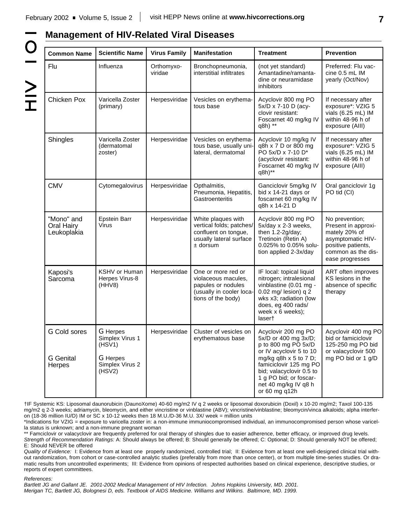# $\overline{O}$  $\ge$

#### **Management of HIV-Related Viral Diseases Common Name** Flu Chicken Pox **Shingles CMV** "Mono" and Oral Hairy Leukoplakia Kaposi's Sarcoma G Cold sores G Genital Herpes **Scientific Name** Influenza Varicella Zoster (primary) Varicella Zoster (dermatomal zoster) Cytomegalovirus Epstein Barr Virus KSHV or Human Herpes Virus-8 (HHV8) G Herpes Simplex Virus 1 (HSV1) G Herpes Simplex Virus 2 (HSV2) **Virus Family** Orthomyxoviridae Herpesviridae Herpesviridae Herpesviridae Herpesviridae Herpesviridae Herpesviridae **Manifestation** Bronchopneumonia, interstitial infiltrates Vesicles on erythematous base Vesicles on erythematous base, usually unilateral, dermatomal Opthalmitis, Pneumonia, Hepatitis, **Gastroenteritis** White plaques with vertical folds; patches/ confluent on tongue, usually lateral surface ± dorsum One or more red or violaceous macules, papules or nodules (usually in cooler locations of the body) Cluster of vesicles on erythematous base **Treatment** (not yet standard) Amantadine/ramantadine or neuramidase inhibitors Acyclovir 800 mg PO 5x/D x 7-10 D (acyclovir resistant: Foscarnet 40 mg/kg IV q8h) \*\* Acyclovir 10 mg/kg IV q8h x 7 D or 800 mg PO 5x/D x 7-10 D\* (acyclovir resistant: Foscarnet 40 mg/kg IV q8h)\*\* Ganciclovir 5mg/kg IV bid x 14-21 days or foscarnet 60 mg/kg IV q8h x 14-21 D Acyclovir 800 mg PO 5x/day x 2-3 weeks, then 1.2-2g/day; Tretinoin (Retin A) 0.025% to 0.05% solution applied 2-3x/day IF local: topical liquid nitrogen; intralesional vinblastine (0.01 mg - 0.02 mg/ lesion) q 2 wks x3; radiation (low does, eg 400 rads/ week x 6 weeks); laser† Acyclovir 200 mg PO 5x/D or 400 mg 3x/D; p to 800 mg PO 5x/D or IV acyclovir 5 to 10 mg/kg q8h  $\times$  5 to 7 D; famiciclovir 125 mg PO bid; valacyclovir 0.5 to 1 g PO bid; or foscarnet 40 mg/kg IV q8 h or 60 mg q12h **Prevention** Preferred: Flu vaccine 0.5 mL IM yearly (Oct/Nov) If necessary after exposure\*: VZIG 5 vials (6.25 mL) IM within 48-96 h of exposure (AIII) If necessary after exposure\*: VZIG 5 vials (6.25 mL) IM within 48-96 h of exposure (AIII) Oral ganciclovir 1g PO tid (CI) No prevention; Present in approximately 20% of asymptomatic HIVpositive patients, common as the disease progresses ART often improves KS lesions in the absence of specific therapy Acyclovir 400 mg PO bid or famiciclovir 125-250 mg PO bid or valacyclovir 500 mg PO bid or 1 g/D

†IF Systemic KS: Liposomal daunorubicin (DaunoXome) 40-60 mg/m2 IV q 2 weeks or liposomal doxorubicin (Doxil) x 10-20 mg/m2; Taxol 100-135 mg/m2 q 2-3 weeks; adriamycin, bleomycin, and either vincristine or vinblastine (ABV); vincristine/vinblastine; bleomycin/vinca alkaloids; alpha interferon (18-36 million IU/D) IM or SC x 10-12 weeks then 18 M.U./D-36 M.U. 3X/ week = million units

\*Indications for VZIG = exposure to varicella zoster in: a non-immune immuniocompromised individual, an immunocompromised person whose varicella status is unknown; and a non-immune pregnant woman

\*\* Famciclovir or valacyclovir are frequently preferred for oral therapy of shingles due to easier adherence, better efficacy, or improved drug levels. *Strength of Recommendation Ratings:* A: Should always be offered; B: Should generally be offered; C: Optional; D: Should generally NOT be offered; E: Should NEVER be offered

*Quality of Evidence:* I: Evidence from at least one properly randomized, controlled trial; II: Evidence from at least one well-designed clinical trial without randomization, from cohort or case-controlled analytic studies (preferably from more than once center), or from multiple time-series studies. Or dramatic results from uncontrolled experiments; III: Evidence from opinions of respected authorities based on clinical experience, descriptive studies, or reports of expert committees.

*References:*

*Bartlett JG and Gallant JE. 2001-2002 Medical Management of HIV Infection. Johns Hopkins University, MD. 2001. Merigan TC, Bartlett JG, Bolognesi D, eds. Textbook of AIDS Medicine. Williams and Wilkins. Baltimore, MD. 1999.*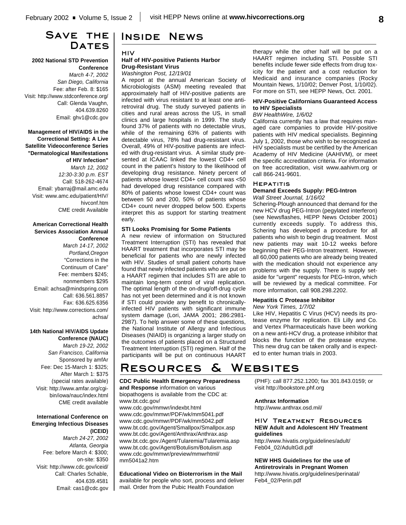# **Save the** DATES

#### **2002 National STD Prevention Conference**

*March 4-7, 2002 San Diego, California* Fee: after Feb. 8: \$165 Visit: http://www.stdconference.org/ Call: Glenda Vaughn, 404.639.8260 Email: ghv1@cdc.gov

**Management of HIV/AIDS in the Correctional Setting: A Live Satellite Videoconference Series "Dermatological Manifestations of HIV Infection"** *March 12, 2002 12:30-3:30 p.m. EST* Call: 518-262-4674 Email: ybarraj@mail.amc.edu Visit: www.amc.edu/patient/HIV/ hivconf.htm CME credit Available

#### **American Correctional Health Services Association Annual Conference**

*March 14-17, 2002 Portland,Oregon* "Corrections in the Continuum of Care" Fee: members \$245; nonmembers \$295 Email: achsa@mindspring.com Call: 636.561.8857 Fax: 636.625.6356 Visit: http://www.corrections.com/ achsa/

## **14th National HIV/AIDS Update Conference (NAUC)**

*March 19-22, 2002 San Francisco, California* Sponsored by amfAr Fee: Dec 15-March 1: \$325; After March 1: \$375 (special rates available) Visit: http://www.amfar.org/cgibin/iowa/nauc/index.html CME credit available

#### **International Conference on Emerging Infectious Diseases (ICEID)**

*March 24-27, 2002 Atlanta, Georgia* Fee: before March 4: \$300; on-site: \$350 Visit: http://www.cdc.gov/iceid/ Call: Charles Schable, 404.639.4581 Email: cas1@cdc.gov

# **Inside News**

#### **HIV**

#### **Half of HIV-positive Patients Harbor Drug-Resistant Virus**

*Washington Post, 12/19/01*

A report at the annual American Society of Microbiologists (ASM) meeting revealed that approximately half of HIV-positive patients are infected with virus resistant to at least one antiretroviral drug. The study surveyed patients in cities and rural areas across the US, in small clinics and large hospitals in 1999. The study found 37% of patients with no detectable virus, while of the remaining 63% of patients with detectable virus, 78% had drug-resistant virus. Overall, 49% of HIV-positive patients are infected with drug-resistant virus. A similar study presented at ICAAC linked the lowest CD4+ cell count in the patient's history to the likelihood of developing drug resistance. Ninety percent of patients whose lowest CD4+ cell count was <50 had developed drug resistance compared with 80% of patients whose lowest CD4+ count was between 50 and 200, 50% of patients whose CD4+ count never dropped below 500. Experts interpret this as support for starting treatment early.

#### **STI Looks Promising for Some Patients**

A new review of information on Structured Treatment Interruption (STI) has revealed that HAART treatment that incorporates STI may be beneficial for patients who are newly infected with HIV. Studies of small patient cohorts have found that newly infected patients who are put on a HAART regimen that includes STI are able to maintain long-term control of viral replication. The optimal length of the on-drug/off-drug cycle has not yet been determined and it is not known if STI could provide any benefit to chronicallyinfected HIV patients with significant immune system damage (Lori, JAMA 2001; 286:2981- 2987). To help answer some of these questions, the National Institute of Allergy and Infectious Diseases (NIAID) is organizing a larger study on the outcomes of patients placed on a Structured Treatment Interruption (STI) regimen. Half of the participants will be put on continuous HAART therapy while the other half will be put on a HAART regimen including STI. Possible STI benefits include fewer side effects from drug toxicity for the patient and a cost reduction for Medicaid and insurance companies (Rocky Mountain News, 1/10/02; Denver Post, 1/10/02). For more on STI, see HEPP News, Oct. 2001.

#### **HIV-Positive Californians Guaranteed Access to HIV Specialists**

#### *BW HealthWire, 1/6/02*

California currently has a law that requires managed care companies to provide HIV-positive patients with HIV medical specialists. Beginning July 1, 2002, those who wish to be recognized as HIV specialists must be certified by the American Academy of HIV Medicine (AAHIVM), or meet the specific accreditation criteria. For information on free accreditation, visit www.aahivm.org or call 866-241-9601.

#### **Hepatitis**

#### **Demand Exceeds Supply: PEG-Intron** *Wall Street Journal, 1/16/02*

Schering-Plough announced that demand for the new HCV drug PEG-Intron (pegylated interferon) (see Newsflashes, HEPP News October 2001) currently exceeds supply. To address this, Schering has developed a procedure for all patients who wish to begin drug treatment. Most new patients may wait 10-12 weeks before beginning their PEG-Intron treatment. However, all 60,000 patients who are already being treated with the medication should not experience any problems with the supply. There is supply setaside for "urgent" requests for PEG-Intron, which will be reviewed by a medical committee. For more information, call 908.298.2202.

#### **Hepatitis C Protease Inhibitor**

#### *New York Times, 1/7/02*

Like HIV, Hepatitis C Virus (HCV) needs its protease enzyme for replication. Eli Lilly and Co. and Vertex Pharmaceuticals have been working on a new anti-HCV drug, a protease inhibitor that blocks the function of the protease enzyme. This new drug can be taken orally and is expected to enter human trials in 2003.

# **Resources & Websites**

## **CDC Public Health Emergency Preparedness and Response** information on various

biopathogens is available from the CDC at: www.bt.cdc.gov/ www.cdc.gov/mmwr/indexbt.html www.cdc.gov/mmwr/PDF/wk/mm5041.pdf www.cdc.gov/mmwr/PDF/wk/mm5042.pdf www.bt.cdc.gov/Agent/Smallpox/Smallpox.asp www.bt.cdc.gov/Agent/Anthrax/Anthrax.asp www.bt.cdc.gov./Agent/Tularemia/Tularemia.asp www.bt.cdc.gov/Agent/Botulism/Botulism.asp www.cdc.gov/mmwr/preview/mmwrhtml/ mm5041a2.htm

**Educational Video on Bioterrorism in the Mail**

available for people who sort, process and deliver mail. Order from the Pubic Health Foundation

(PHF): call 877.252.1200; fax 301.843.0159; or visit http://bookstore.phf.org

#### **Anthrax Information**

http://www.anthrax.osd.mil/

#### **HIV Treatment Resources NEW Adult and Adolescent HIV Treatment guidelines**

http://www.hivatis.org/guidelines/adult/ Feb04\_02/AdultGdl.pdf

**NEW HHS Guidelines for the use of Antiretrovirals in Pregnant Women** http://www.hivatis.org/guidelines/perinatal/ Feb4\_02/Perin.pdf